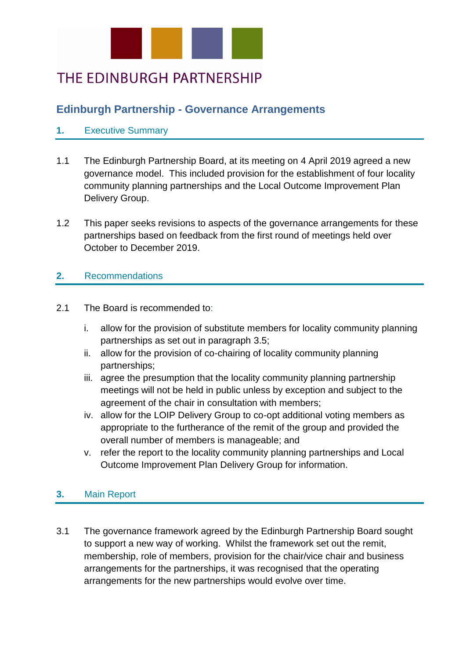

# THE EDINBURGH PARTNERSHIP

## **Edinburgh Partnership - Governance Arrangements**

#### **1.** Executive Summary

- 1.1 The Edinburgh Partnership Board, at its meeting on 4 April 2019 agreed a new governance model. This included provision for the establishment of four locality community planning partnerships and the Local Outcome Improvement Plan Delivery Group.
- 1.2 This paper seeks revisions to aspects of the governance arrangements for these partnerships based on feedback from the first round of meetings held over October to December 2019.

#### **2.** Recommendations

- 2.1 The Board is recommended to:
	- i. allow for the provision of substitute members for locality community planning partnerships as set out in paragraph 3.5;
	- ii. allow for the provision of co-chairing of locality community planning partnerships;
	- iii. agree the presumption that the locality community planning partnership meetings will not be held in public unless by exception and subject to the agreement of the chair in consultation with members;
	- iv. allow for the LOIP Delivery Group to co-opt additional voting members as appropriate to the furtherance of the remit of the group and provided the overall number of members is manageable; and
	- v. refer the report to the locality community planning partnerships and Local Outcome Improvement Plan Delivery Group for information.

### **3.** Main Report

3.1 The governance framework agreed by the Edinburgh Partnership Board sought to support a new way of working. Whilst the framework set out the remit, membership, role of members, provision for the chair/vice chair and business arrangements for the partnerships, it was recognised that the operating arrangements for the new partnerships would evolve over time.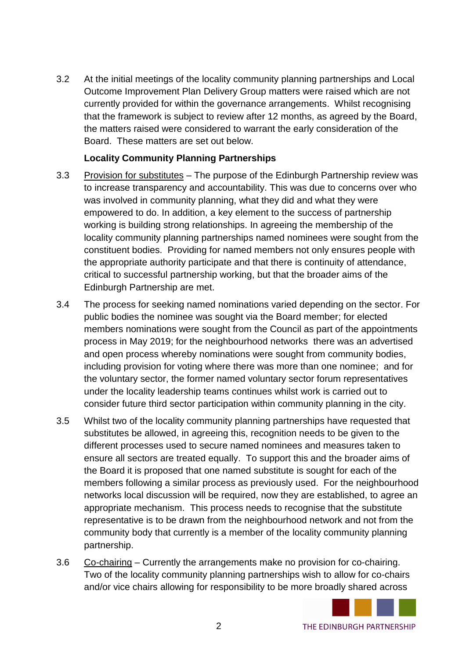3.2 At the initial meetings of the locality community planning partnerships and Local Outcome Improvement Plan Delivery Group matters were raised which are not currently provided for within the governance arrangements. Whilst recognising that the framework is subject to review after 12 months, as agreed by the Board, the matters raised were considered to warrant the early consideration of the Board. These matters are set out below.

#### **Locality Community Planning Partnerships**

- 3.3 Provision for substitutes The purpose of the Edinburgh Partnership review was to increase transparency and accountability. This was due to concerns over who was involved in community planning, what they did and what they were empowered to do. In addition, a key element to the success of partnership working is building strong relationships. In agreeing the membership of the locality community planning partnerships named nominees were sought from the constituent bodies. Providing for named members not only ensures people with the appropriate authority participate and that there is continuity of attendance, critical to successful partnership working, but that the broader aims of the Edinburgh Partnership are met.
- 3.4 The process for seeking named nominations varied depending on the sector. For public bodies the nominee was sought via the Board member; for elected members nominations were sought from the Council as part of the appointments process in May 2019; for the neighbourhood networks there was an advertised and open process whereby nominations were sought from community bodies, including provision for voting where there was more than one nominee; and for the voluntary sector, the former named voluntary sector forum representatives under the locality leadership teams continues whilst work is carried out to consider future third sector participation within community planning in the city.
- 3.5 Whilst two of the locality community planning partnerships have requested that substitutes be allowed, in agreeing this, recognition needs to be given to the different processes used to secure named nominees and measures taken to ensure all sectors are treated equally. To support this and the broader aims of the Board it is proposed that one named substitute is sought for each of the members following a similar process as previously used. For the neighbourhood networks local discussion will be required, now they are established, to agree an appropriate mechanism. This process needs to recognise that the substitute representative is to be drawn from the neighbourhood network and not from the community body that currently is a member of the locality community planning partnership.
- 3.6 Co-chairing Currently the arrangements make no provision for co-chairing. Two of the locality community planning partnerships wish to allow for co-chairs and/or vice chairs allowing for responsibility to be more broadly shared across